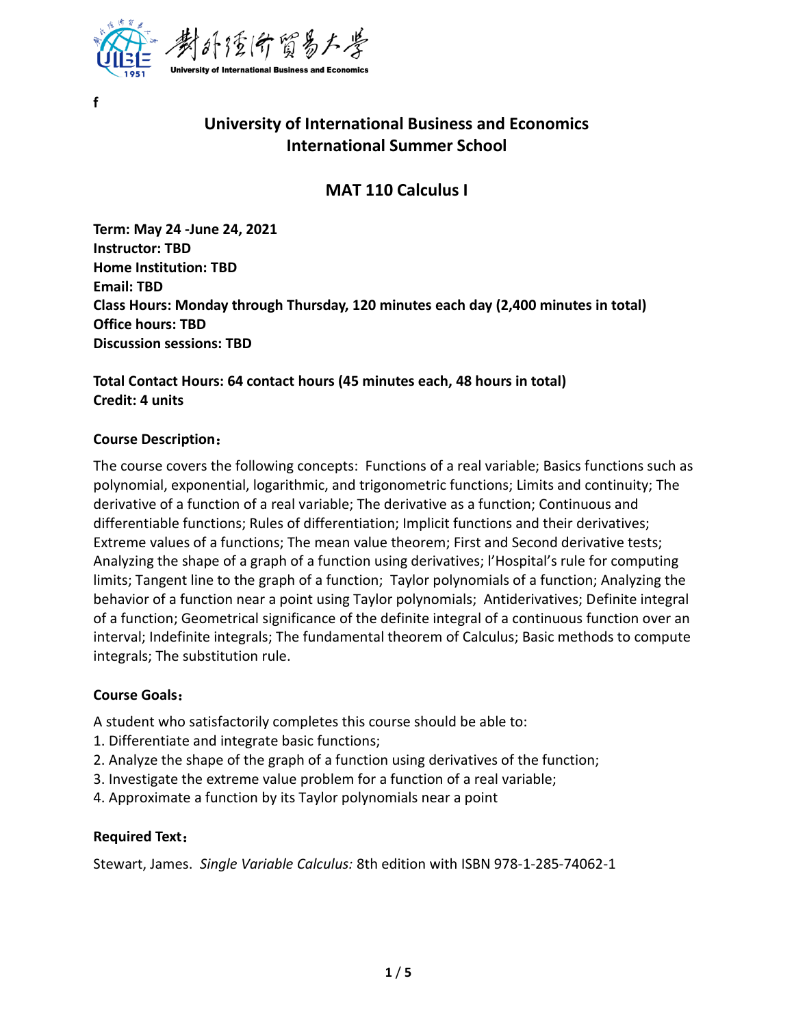

# **University of International Business and Economics International Summer School**

## **MAT 110 Calculus I**

**Term: May 24 -June 24, 2021 Instructor: TBD Home Institution: TBD Email: TBD Class Hours: Monday through Thursday, 120 minutes each day (2,400 minutes in total) Office hours: TBD Discussion sessions: TBD**

**Total Contact Hours: 64 contact hours (45 minutes each, 48 hours in total) Credit: 4 units**

#### **Course Description**:

**f**

The course covers the following concepts: Functions of a real variable; Basics functions such as polynomial, exponential, logarithmic, and trigonometric functions; Limits and continuity; The derivative of a function of a real variable; The derivative as a function; Continuous and differentiable functions; Rules of differentiation; Implicit functions and their derivatives; Extreme values of a functions; The mean value theorem; First and Second derivative tests; Analyzing the shape of a graph of a function using derivatives; l'Hospital's rule for computing limits; Tangent line to the graph of a function; Taylor polynomials of a function; Analyzing the behavior of a function near a point using Taylor polynomials; Antiderivatives; Definite integral of a function; Geometrical significance of the definite integral of a continuous function over an interval; Indefinite integrals; The fundamental theorem of Calculus; Basic methods to compute integrals; The substitution rule.

#### **Course Goals**:

A student who satisfactorily completes this course should be able to:

- 1. Differentiate and integrate basic functions;
- 2. Analyze the shape of the graph of a function using derivatives of the function;
- 3. Investigate the extreme value problem for a function of a real variable;
- 4. Approximate a function by its Taylor polynomials near a point

#### **Required Text**:

Stewart, James. *Single Variable Calculus:* 8th edition with ISBN 978-1-285-74062-1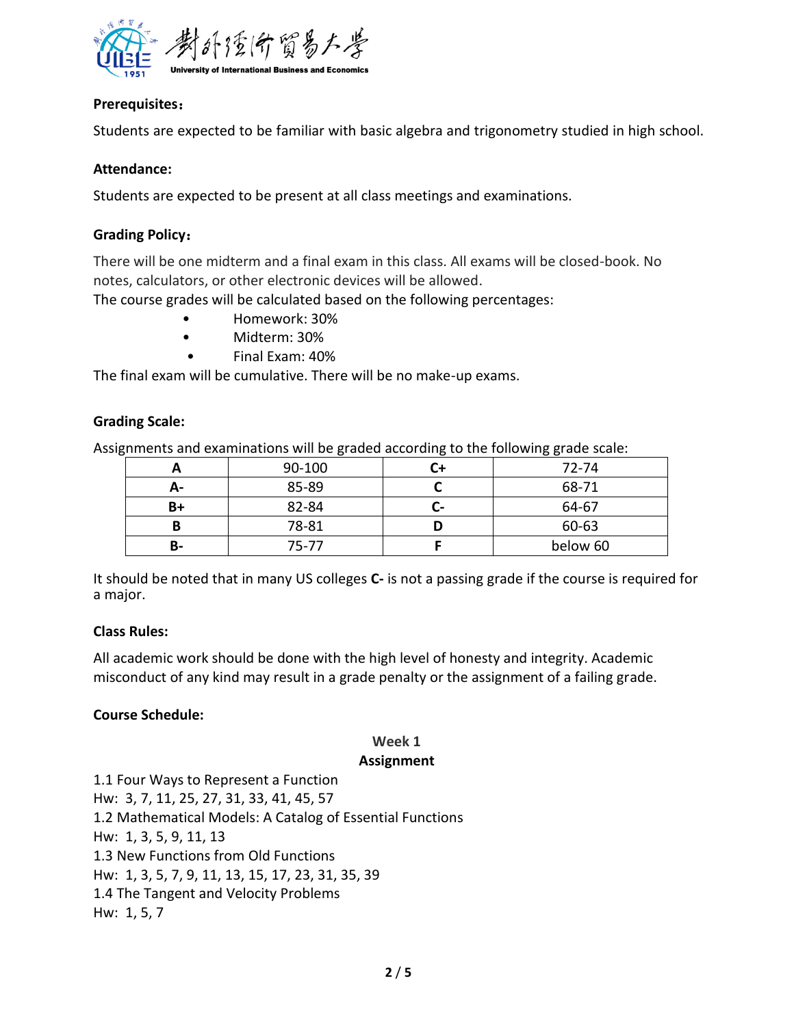

#### **Prerequisites**:

Students are expected to be familiar with basic algebra and trigonometry studied in high school.

#### **Attendance:**

Students are expected to be present at all class meetings and examinations.

#### **Grading Policy**:

There will be one midterm and a final exam in this class. All exams will be closed-book. No notes, calculators, or other electronic devices will be allowed.

The course grades will be calculated based on the following percentages:

- Homework: 30%
- Midterm: 30%
- Final Exam: 40%

The final exam will be cumulative. There will be no make-up exams.

#### **Grading Scale:**

Assignments and examinations will be graded according to the following grade scale:

|    | 90-100 | 72-74    |
|----|--------|----------|
| А- | 85-89  | 68-71    |
| B+ | 82-84  | 64-67    |
|    | 78-81  | 60-63    |
| В- | 75-77  | below 60 |

It should be noted that in many US colleges **C-** is not a passing grade if the course is required for a major.

#### **Class Rules:**

All academic work should be done with the high level of honesty and integrity. Academic misconduct of any kind may result in a grade penalty or the assignment of a failing grade.

#### **Course Schedule:**

# **Week 1**

#### **Assignment**

1.1 Four Ways to Represent a Function Hw: 3, 7, 11, 25, 27, 31, 33, 41, 45, 57 1.2 Mathematical Models: A Catalog of Essential Functions Hw: 1, 3, 5, 9, 11, 13 1.3 New Functions from Old Functions Hw: 1, 3, 5, 7, 9, 11, 13, 15, 17, 23, 31, 35, 39 1.4 The Tangent and Velocity Problems Hw: 1, 5, 7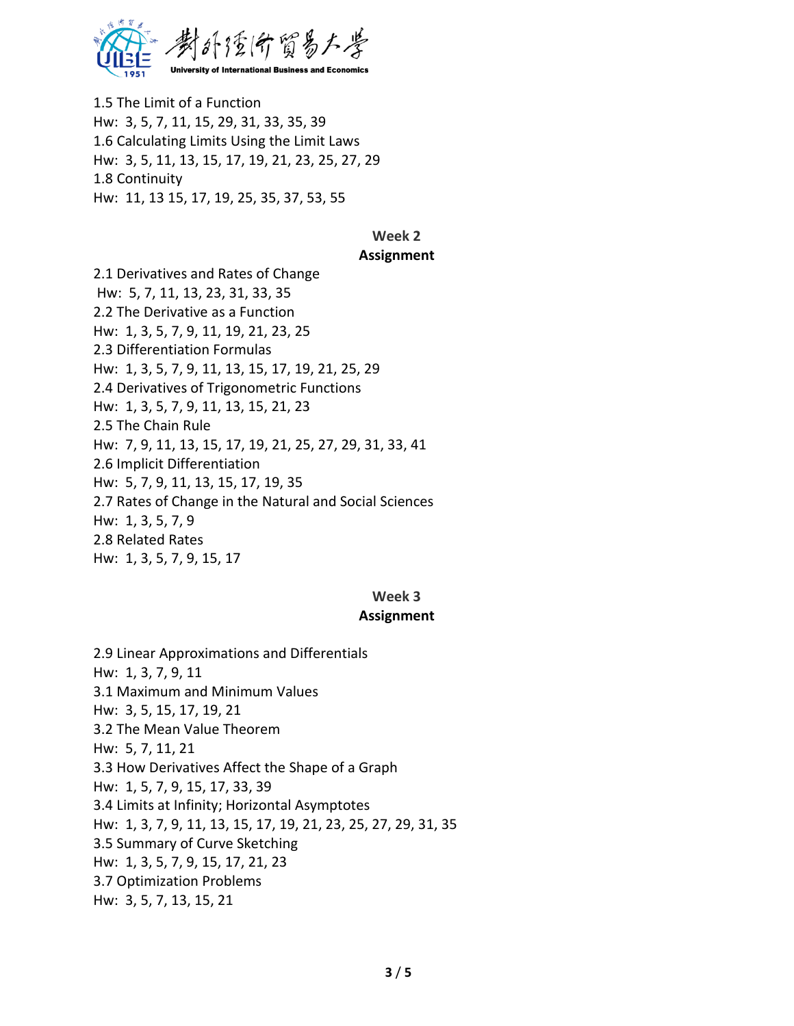

1.5 The Limit of a Function Hw: 3, 5, 7, 11, 15, 29, 31, 33, 35, 39 1.6 Calculating Limits Using the Limit Laws Hw: 3, 5, 11, 13, 15, 17, 19, 21, 23, 25, 27, 29 1.8 Continuity Hw: 11, 13 15, 17, 19, 25, 35, 37, 53, 55

#### **Week 2**

#### **Assignment**

2.1 Derivatives and Rates of Change Hw: 5, 7, 11, 13, 23, 31, 33, 35 2.2 The Derivative as a Function Hw: 1, 3, 5, 7, 9, 11, 19, 21, 23, 25 2.3 Differentiation Formulas Hw: 1, 3, 5, 7, 9, 11, 13, 15, 17, 19, 21, 25, 29 2.4 Derivatives of Trigonometric Functions Hw: 1, 3, 5, 7, 9, 11, 13, 15, 21, 23 2.5 The Chain Rule Hw: 7, 9, 11, 13, 15, 17, 19, 21, 25, 27, 29, 31, 33, 41 2.6 Implicit Differentiation Hw: 5, 7, 9, 11, 13, 15, 17, 19, 35 2.7 Rates of Change in the Natural and Social Sciences Hw: 1, 3, 5, 7, 9 2.8 Related Rates Hw: 1, 3, 5, 7, 9, 15, 17

#### **Week 3**

#### **Assignment**

2.9 Linear Approximations and Differentials Hw: 1, 3, 7, 9, 11 3.1 Maximum and Minimum Values Hw: 3, 5, 15, 17, 19, 21 3.2 The Mean Value Theorem Hw: 5, 7, 11, 21 3.3 How Derivatives Affect the Shape of a Graph Hw: 1, 5, 7, 9, 15, 17, 33, 39 3.4 Limits at Infinity; Horizontal Asymptotes Hw: 1, 3, 7, 9, 11, 13, 15, 17, 19, 21, 23, 25, 27, 29, 31, 35 3.5 Summary of Curve Sketching Hw: 1, 3, 5, 7, 9, 15, 17, 21, 23 3.7 Optimization Problems Hw: 3, 5, 7, 13, 15, 21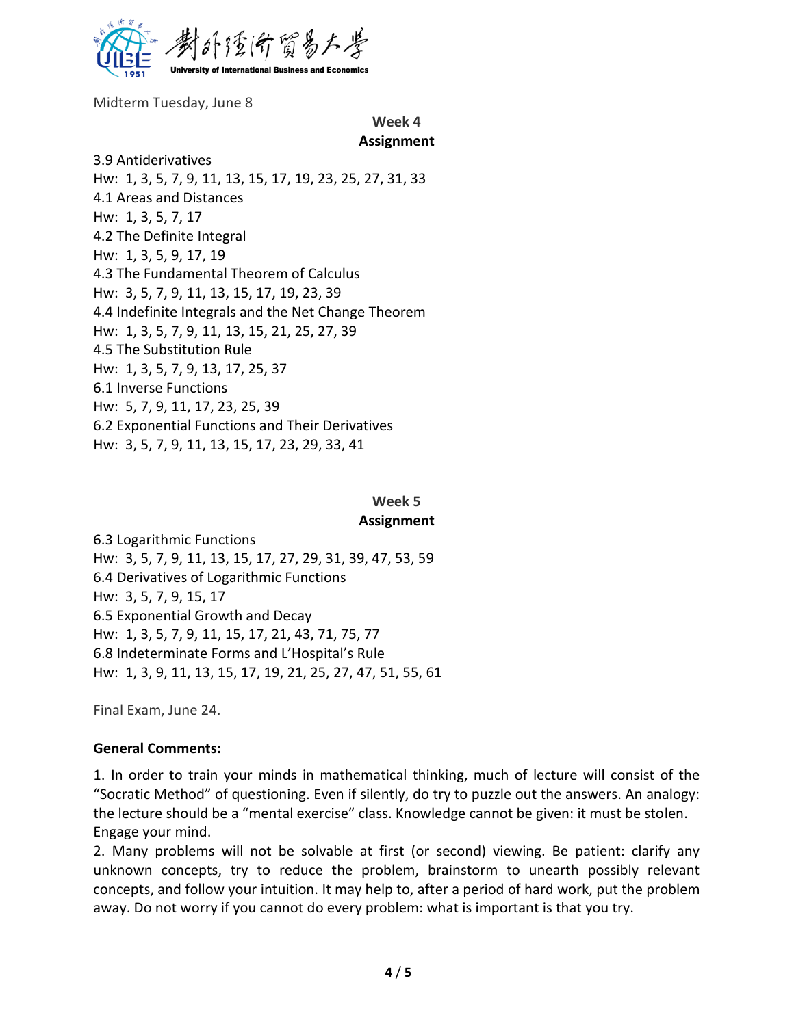

Midterm Tuesday, June 8

#### **Week 4 Assignment**

3.9 Antiderivatives Hw: 1, 3, 5, 7, 9, 11, 13, 15, 17, 19, 23, 25, 27, 31, 33 4.1 Areas and Distances Hw: 1, 3, 5, 7, 17 4.2 The Definite Integral Hw: 1, 3, 5, 9, 17, 19 4.3 The Fundamental Theorem of Calculus Hw: 3, 5, 7, 9, 11, 13, 15, 17, 19, 23, 39 4.4 Indefinite Integrals and the Net Change Theorem Hw: 1, 3, 5, 7, 9, 11, 13, 15, 21, 25, 27, 39 4.5 The Substitution Rule Hw: 1, 3, 5, 7, 9, 13, 17, 25, 37 6.1 Inverse Functions Hw: 5, 7, 9, 11, 17, 23, 25, 39 6.2 Exponential Functions and Their Derivatives Hw: 3, 5, 7, 9, 11, 13, 15, 17, 23, 29, 33, 41

#### **Week 5 Assignment**

6.3 Logarithmic Functions Hw: 3, 5, 7, 9, 11, 13, 15, 17, 27, 29, 31, 39, 47, 53, 59 6.4 Derivatives of Logarithmic Functions Hw: 3, 5, 7, 9, 15, 17 6.5 Exponential Growth and Decay Hw: 1, 3, 5, 7, 9, 11, 15, 17, 21, 43, 71, 75, 77 6.8 Indeterminate Forms and L'Hospital's Rule Hw: 1, 3, 9, 11, 13, 15, 17, 19, 21, 25, 27, 47, 51, 55, 61

Final Exam, June 24.

#### **General Comments:**

1. In order to train your minds in mathematical thinking, much of lecture will consist of the "Socratic Method" of questioning. Even if silently, do try to puzzle out the answers. An analogy: the lecture should be a "mental exercise" class. Knowledge cannot be given: it must be stolen. Engage your mind.

2. Many problems will not be solvable at first (or second) viewing. Be patient: clarify any unknown concepts, try to reduce the problem, brainstorm to unearth possibly relevant concepts, and follow your intuition. It may help to, after a period of hard work, put the problem away. Do not worry if you cannot do every problem: what is important is that you try.